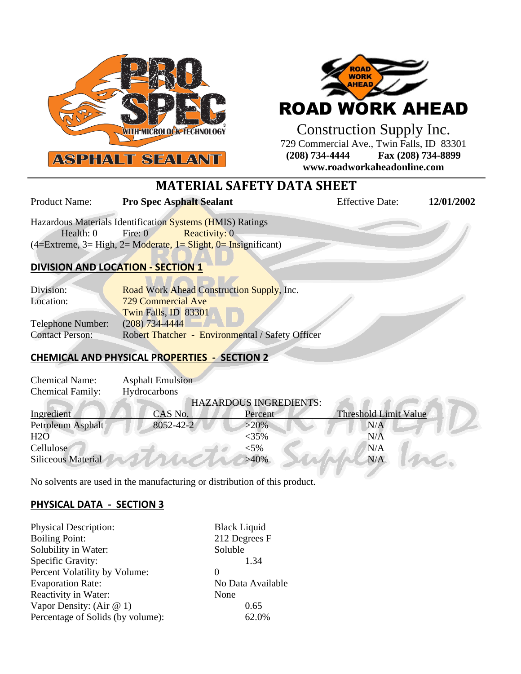



Construction Supply Inc. 729 Commercial Ave., Twin Falls, ID 83301 **(208) 734-4444 Fax (208) 734-8899 www.roadworkaheadonline.com**

# **MATERIAL SAFETY DATA SHEET**

Product Name: **Pro Spec Asphalt Sealant** Effective Date: 12/01/2002

Hazardous Materials Identification Systems (HMIS) Ratings Health: 0 Fire: 0 Reactivity: 0  $(4=Extreme, 3= High, 2= Moderate, 1= Slight, 0= Insignificant)$ 

## **DIVISION AND LOCATION - SECTION 1**

| Division:              | Road Work Ahead Construction Supply, Inc.        |  |  |
|------------------------|--------------------------------------------------|--|--|
| Location:              | 729 Commercial Ave                               |  |  |
|                        | Twin Falls, ID 83301                             |  |  |
| Telephone Number:      | $(208)$ 734-4444                                 |  |  |
| <b>Contact Person:</b> | Robert Thatcher - Environmental / Safety Officer |  |  |

## **CHEMICAL AND PHYSICAL PROPERTIES - SECTION 2**

| <b>Chemical Name:</b>         | <b>Asphalt Emulsion</b> |          |                              |  |  |
|-------------------------------|-------------------------|----------|------------------------------|--|--|
| <b>Chemical Family:</b>       | Hydrocarbons            |          |                              |  |  |
| <b>HAZARDOUS INGREDIENTS:</b> |                         |          |                              |  |  |
| Ingredient                    | CAS No.                 | Percent  | <b>Threshold Limit Value</b> |  |  |
| Petroleum Asphalt             | 8052-42-2               | $>20\%$  | N/A                          |  |  |
| H2O                           |                         | $<$ 35%  | N/A                          |  |  |
| Cellulose                     |                         | ${<}5\%$ | N/A                          |  |  |
| <b>Siliceous Material</b>     |                         | $>40\%$  | N/A                          |  |  |

No solvents are used in the manufacturing or distribution of this product.

## **PHYSICAL DATA - SECTION 3**

| <b>Physical Description:</b>      | <b>Black Liquid</b> |
|-----------------------------------|---------------------|
| <b>Boiling Point:</b>             | 212 Degrees F       |
| Solubility in Water:              | Soluble             |
| Specific Gravity:                 | 1.34                |
| Percent Volatility by Volume:     | $\theta$            |
| <b>Evaporation Rate:</b>          | No Data Available   |
| Reactivity in Water:              | None                |
| Vapor Density: (Air $@1$ )        | 0.65                |
| Percentage of Solids (by volume): | 62.0%               |